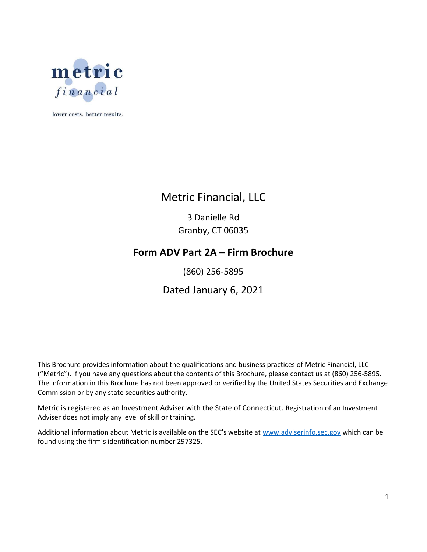

lower costs. better results.

## Metric Financial, LLC

3 Danielle Rd Granby, CT 06035

## Form ADV Part 2A – Firm Brochure

(860) 256-5895

## Dated January 6, 2021

This Brochure provides information about the qualifications and business practices of Metric Financial, LLC ("Metric"). If you have any questions about the contents of this Brochure, please contact us at (860) 256-5895. The information in this Brochure has not been approved or verified by the United States Securities and Exchange Commission or by any state securities authority.

Metric is registered as an Investment Adviser with the State of Connecticut. Registration of an Investment Adviser does not imply any level of skill or training.

Additional information about Metric is available on the SEC's website at www.adviserinfo.sec.gov which can be found using the firm's identification number 297325.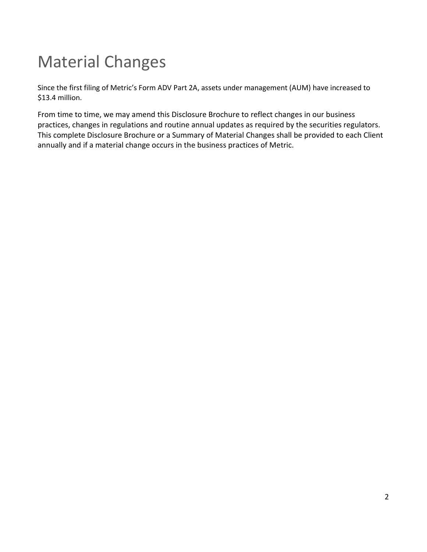# Material Changes

Since the first filing of Metric's Form ADV Part 2A, assets under management (AUM) have increased to \$13.4 million.

From time to time, we may amend this Disclosure Brochure to reflect changes in our business practices, changes in regulations and routine annual updates as required by the securities regulators. This complete Disclosure Brochure or a Summary of Material Changes shall be provided to each Client annually and if a material change occurs in the business practices of Metric.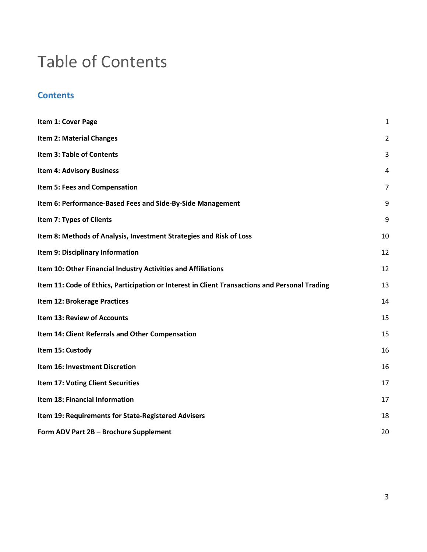## Table of Contents

## **Contents**

| Item 1: Cover Page                                                                             | $\mathbf{1}$   |
|------------------------------------------------------------------------------------------------|----------------|
| <b>Item 2: Material Changes</b>                                                                | $\overline{2}$ |
| <b>Item 3: Table of Contents</b>                                                               | 3              |
| <b>Item 4: Advisory Business</b>                                                               | 4              |
| Item 5: Fees and Compensation                                                                  | $\overline{7}$ |
| Item 6: Performance-Based Fees and Side-By-Side Management                                     | 9              |
| Item 7: Types of Clients                                                                       | 9              |
| Item 8: Methods of Analysis, Investment Strategies and Risk of Loss                            | 10             |
| Item 9: Disciplinary Information                                                               | 12             |
| Item 10: Other Financial Industry Activities and Affiliations                                  | 12             |
| Item 11: Code of Ethics, Participation or Interest in Client Transactions and Personal Trading | 13             |
| Item 12: Brokerage Practices                                                                   | 14             |
| <b>Item 13: Review of Accounts</b>                                                             | 15             |
| Item 14: Client Referrals and Other Compensation                                               | 15             |
| Item 15: Custody                                                                               | 16             |
| Item 16: Investment Discretion                                                                 | 16             |
| <b>Item 17: Voting Client Securities</b>                                                       | 17             |
| Item 18: Financial Information                                                                 | 17             |
| Item 19: Requirements for State-Registered Advisers                                            | 18             |
| Form ADV Part 2B - Brochure Supplement                                                         | 20             |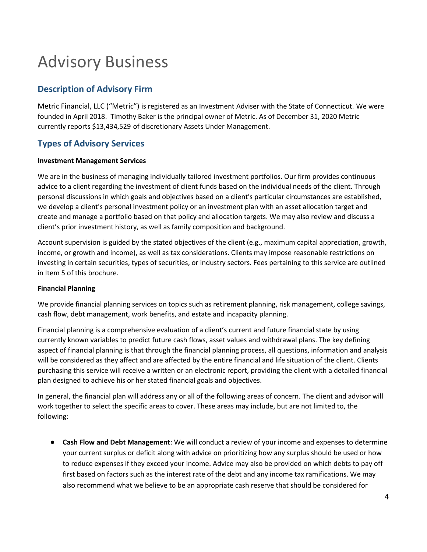# Advisory Business

## Description of Advisory Firm

Metric Financial, LLC ("Metric") is registered as an Investment Adviser with the State of Connecticut. We were founded in April 2018. Timothy Baker is the principal owner of Metric. As of December 31, 2020 Metric currently reports \$13,434,529 of discretionary Assets Under Management.

## Types of Advisory Services

#### Investment Management Services

We are in the business of managing individually tailored investment portfolios. Our firm provides continuous advice to a client regarding the investment of client funds based on the individual needs of the client. Through personal discussions in which goals and objectives based on a client's particular circumstances are established, we develop a client's personal investment policy or an investment plan with an asset allocation target and create and manage a portfolio based on that policy and allocation targets. We may also review and discuss a client's prior investment history, as well as family composition and background.

Account supervision is guided by the stated objectives of the client (e.g., maximum capital appreciation, growth, income, or growth and income), as well as tax considerations. Clients may impose reasonable restrictions on investing in certain securities, types of securities, or industry sectors. Fees pertaining to this service are outlined in Item 5 of this brochure.

#### Financial Planning

We provide financial planning services on topics such as retirement planning, risk management, college savings, cash flow, debt management, work benefits, and estate and incapacity planning.

Financial planning is a comprehensive evaluation of a client's current and future financial state by using currently known variables to predict future cash flows, asset values and withdrawal plans. The key defining aspect of financial planning is that through the financial planning process, all questions, information and analysis will be considered as they affect and are affected by the entire financial and life situation of the client. Clients purchasing this service will receive a written or an electronic report, providing the client with a detailed financial plan designed to achieve his or her stated financial goals and objectives.

In general, the financial plan will address any or all of the following areas of concern. The client and advisor will work together to select the specific areas to cover. These areas may include, but are not limited to, the following:

● Cash Flow and Debt Management: We will conduct a review of your income and expenses to determine your current surplus or deficit along with advice on prioritizing how any surplus should be used or how to reduce expenses if they exceed your income. Advice may also be provided on which debts to pay off first based on factors such as the interest rate of the debt and any income tax ramifications. We may also recommend what we believe to be an appropriate cash reserve that should be considered for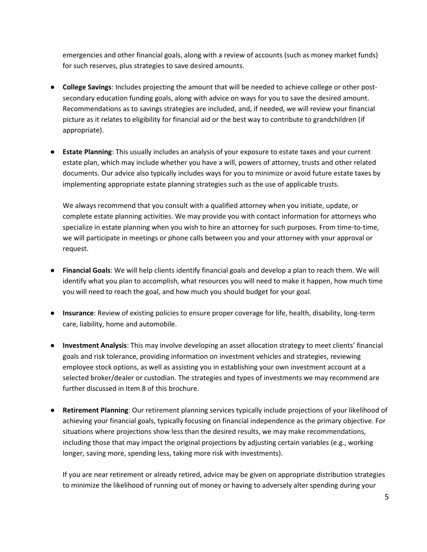emergencies and other financial goals, along with a review of accounts (such as money market funds) for such reserves, plus strategies to save desired amounts.

- College Savings: Includes projecting the amount that will be needed to achieve college or other postsecondary education funding goals, along with advice on ways for you to save the desired amount. Recommendations as to savings strategies are included, and, if needed, we will review your financial picture as it relates to eligibility for financial aid or the best way to contribute to grandchildren (if appropriate).
- Estate Planning: This usually includes an analysis of your exposure to estate taxes and your current estate plan, which may include whether you have a will, powers of attorney, trusts and other related documents. Our advice also typically includes ways for you to minimize or avoid future estate taxes by implementing appropriate estate planning strategies such as the use of applicable trusts.

We always recommend that you consult with a qualified attorney when you initiate, update, or complete estate planning activities. We may provide you with contact information for attorneys who specialize in estate planning when you wish to hire an attorney for such purposes. From time-to-time, we will participate in meetings or phone calls between you and your attorney with your approval or request.

- Financial Goals: We will help clients identify financial goals and develop a plan to reach them. We will identify what you plan to accomplish, what resources you will need to make it happen, how much time you will need to reach the goal, and how much you should budget for your goal.
- Insurance: Review of existing policies to ensure proper coverage for life, health, disability, long-term care, liability, home and automobile.
- Investment Analysis: This may involve developing an asset allocation strategy to meet clients' financial goals and risk tolerance, providing information on investment vehicles and strategies, reviewing employee stock options, as well as assisting you in establishing your own investment account at a selected broker/dealer or custodian. The strategies and types of investments we may recommend are further discussed in Item 8 of this brochure.
- Retirement Planning: Our retirement planning services typically include projections of your likelihood of achieving your financial goals, typically focusing on financial independence as the primary objective. For situations where projections show less than the desired results, we may make recommendations, including those that may impact the original projections by adjusting certain variables (e.g., working longer, saving more, spending less, taking more risk with investments).

If you are near retirement or already retired, advice may be given on appropriate distribution strategies to minimize the likelihood of running out of money or having to adversely alter spending during your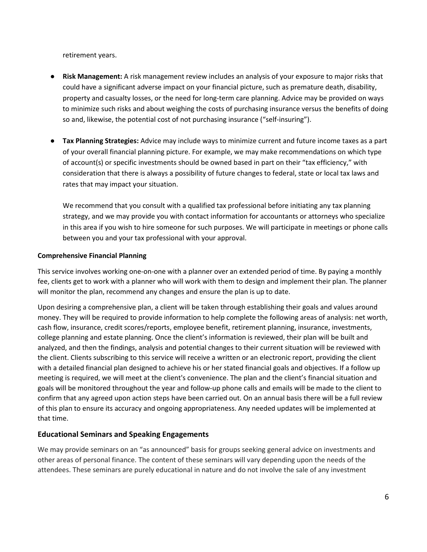retirement years.

- Risk Management: A risk management review includes an analysis of your exposure to major risks that could have a significant adverse impact on your financial picture, such as premature death, disability, property and casualty losses, or the need for long-term care planning. Advice may be provided on ways to minimize such risks and about weighing the costs of purchasing insurance versus the benefits of doing so and, likewise, the potential cost of not purchasing insurance ("self-insuring").
- Tax Planning Strategies: Advice may include ways to minimize current and future income taxes as a part of your overall financial planning picture. For example, we may make recommendations on which type of account(s) or specific investments should be owned based in part on their "tax efficiency," with consideration that there is always a possibility of future changes to federal, state or local tax laws and rates that may impact your situation.

We recommend that you consult with a qualified tax professional before initiating any tax planning strategy, and we may provide you with contact information for accountants or attorneys who specialize in this area if you wish to hire someone for such purposes. We will participate in meetings or phone calls between you and your tax professional with your approval.

#### Comprehensive Financial Planning

This service involves working one-on-one with a planner over an extended period of time. By paying a monthly fee, clients get to work with a planner who will work with them to design and implement their plan. The planner will monitor the plan, recommend any changes and ensure the plan is up to date.

Upon desiring a comprehensive plan, a client will be taken through establishing their goals and values around money. They will be required to provide information to help complete the following areas of analysis: net worth, cash flow, insurance, credit scores/reports, employee benefit, retirement planning, insurance, investments, college planning and estate planning. Once the client's information is reviewed, their plan will be built and analyzed, and then the findings, analysis and potential changes to their current situation will be reviewed with the client. Clients subscribing to this service will receive a written or an electronic report, providing the client with a detailed financial plan designed to achieve his or her stated financial goals and objectives. If a follow up meeting is required, we will meet at the client's convenience. The plan and the client's financial situation and goals will be monitored throughout the year and follow-up phone calls and emails will be made to the client to confirm that any agreed upon action steps have been carried out. On an annual basis there will be a full review of this plan to ensure its accuracy and ongoing appropriateness. Any needed updates will be implemented at that time.

#### Educational Seminars and Speaking Engagements

We may provide seminars on an "as announced" basis for groups seeking general advice on investments and other areas of personal finance. The content of these seminars will vary depending upon the needs of the attendees. These seminars are purely educational in nature and do not involve the sale of any investment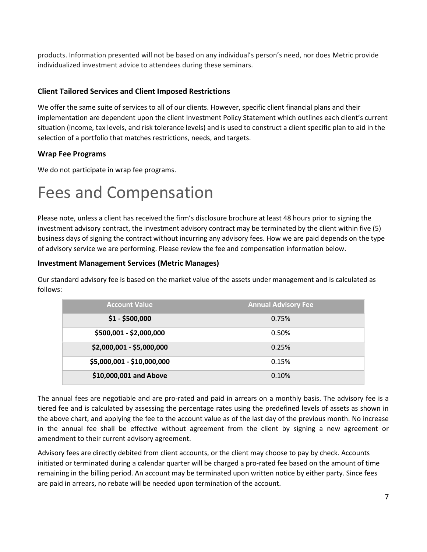products. Information presented will not be based on any individual's person's need, nor does Metric provide individualized investment advice to attendees during these seminars.

#### Client Tailored Services and Client Imposed Restrictions

We offer the same suite of services to all of our clients. However, specific client financial plans and their implementation are dependent upon the client Investment Policy Statement which outlines each client's current situation (income, tax levels, and risk tolerance levels) and is used to construct a client specific plan to aid in the selection of a portfolio that matches restrictions, needs, and targets.

#### Wrap Fee Programs

We do not participate in wrap fee programs.

## Fees and Compensation

Please note, unless a client has received the firm's disclosure brochure at least 48 hours prior to signing the investment advisory contract, the investment advisory contract may be terminated by the client within five (5) business days of signing the contract without incurring any advisory fees. How we are paid depends on the type of advisory service we are performing. Please review the fee and compensation information below.

#### Investment Management Services (Metric Manages)

Our standard advisory fee is based on the market value of the assets under management and is calculated as follows:

| <b>Account Value</b>       | <b>Annual Advisory Fee</b> |
|----------------------------|----------------------------|
| $$1 - $500,000$            | 0.75%                      |
| \$500,001 - \$2,000,000    | 0.50%                      |
| \$2,000,001 - \$5,000,000  | 0.25%                      |
| \$5,000,001 - \$10,000,000 | 0.15%                      |
| \$10,000,001 and Above     | 0.10%                      |

The annual fees are negotiable and are pro-rated and paid in arrears on a monthly basis. The advisory fee is a tiered fee and is calculated by assessing the percentage rates using the predefined levels of assets as shown in the above chart, and applying the fee to the account value as of the last day of the previous month. No increase in the annual fee shall be effective without agreement from the client by signing a new agreement or amendment to their current advisory agreement.

Advisory fees are directly debited from client accounts, or the client may choose to pay by check. Accounts initiated or terminated during a calendar quarter will be charged a pro-rated fee based on the amount of time remaining in the billing period. An account may be terminated upon written notice by either party. Since fees are paid in arrears, no rebate will be needed upon termination of the account.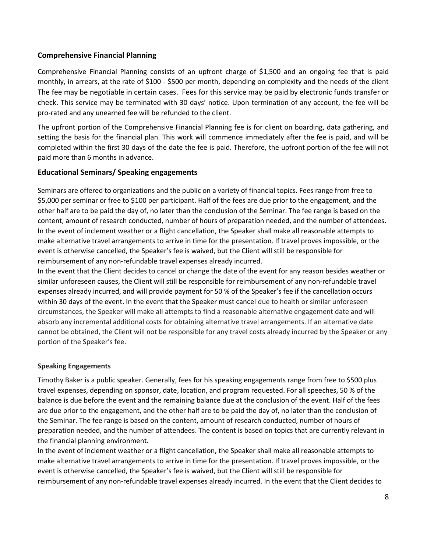#### Comprehensive Financial Planning

Comprehensive Financial Planning consists of an upfront charge of \$1,500 and an ongoing fee that is paid monthly, in arrears, at the rate of \$100 - \$500 per month, depending on complexity and the needs of the client The fee may be negotiable in certain cases. Fees for this service may be paid by electronic funds transfer or check. This service may be terminated with 30 days' notice. Upon termination of any account, the fee will be pro-rated and any unearned fee will be refunded to the client.

The upfront portion of the Comprehensive Financial Planning fee is for client on boarding, data gathering, and setting the basis for the financial plan. This work will commence immediately after the fee is paid, and will be completed within the first 30 days of the date the fee is paid. Therefore, the upfront portion of the fee will not paid more than 6 months in advance.

#### Educational Seminars/ Speaking engagements

Seminars are offered to organizations and the public on a variety of financial topics. Fees range from free to \$5,000 per seminar or free to \$100 per participant. Half of the fees are due prior to the engagement, and the other half are to be paid the day of, no later than the conclusion of the Seminar. The fee range is based on the content, amount of research conducted, number of hours of preparation needed, and the number of attendees. In the event of inclement weather or a flight cancellation, the Speaker shall make all reasonable attempts to make alternative travel arrangements to arrive in time for the presentation. If travel proves impossible, or the event is otherwise cancelled, the Speaker's fee is waived, but the Client will still be responsible for reimbursement of any non-refundable travel expenses already incurred.

In the event that the Client decides to cancel or change the date of the event for any reason besides weather or similar unforeseen causes, the Client will still be responsible for reimbursement of any non-refundable travel expenses already incurred, and will provide payment for 50 % of the Speaker's fee if the cancellation occurs within 30 days of the event. In the event that the Speaker must cancel due to health or similar unforeseen circumstances, the Speaker will make all attempts to find a reasonable alternative engagement date and will absorb any incremental additional costs for obtaining alternative travel arrangements. If an alternative date cannot be obtained, the Client will not be responsible for any travel costs already incurred by the Speaker or any portion of the Speaker's fee.

#### Speaking Engagements

Timothy Baker is a public speaker. Generally, fees for his speaking engagements range from free to \$500 plus travel expenses, depending on sponsor, date, location, and program requested. For all speeches, 50 % of the balance is due before the event and the remaining balance due at the conclusion of the event. Half of the fees are due prior to the engagement, and the other half are to be paid the day of, no later than the conclusion of the Seminar. The fee range is based on the content, amount of research conducted, number of hours of preparation needed, and the number of attendees. The content is based on topics that are currently relevant in the financial planning environment.

In the event of inclement weather or a flight cancellation, the Speaker shall make all reasonable attempts to make alternative travel arrangements to arrive in time for the presentation. If travel proves impossible, or the event is otherwise cancelled, the Speaker's fee is waived, but the Client will still be responsible for reimbursement of any non-refundable travel expenses already incurred. In the event that the Client decides to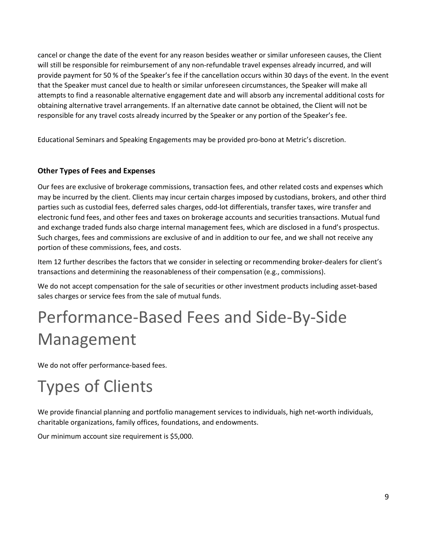cancel or change the date of the event for any reason besides weather or similar unforeseen causes, the Client will still be responsible for reimbursement of any non-refundable travel expenses already incurred, and will provide payment for 50 % of the Speaker's fee if the cancellation occurs within 30 days of the event. In the event that the Speaker must cancel due to health or similar unforeseen circumstances, the Speaker will make all attempts to find a reasonable alternative engagement date and will absorb any incremental additional costs for obtaining alternative travel arrangements. If an alternative date cannot be obtained, the Client will not be responsible for any travel costs already incurred by the Speaker or any portion of the Speaker's fee.

Educational Seminars and Speaking Engagements may be provided pro-bono at Metric's discretion.

### Other Types of Fees and Expenses

Our fees are exclusive of brokerage commissions, transaction fees, and other related costs and expenses which may be incurred by the client. Clients may incur certain charges imposed by custodians, brokers, and other third parties such as custodial fees, deferred sales charges, odd-lot differentials, transfer taxes, wire transfer and electronic fund fees, and other fees and taxes on brokerage accounts and securities transactions. Mutual fund and exchange traded funds also charge internal management fees, which are disclosed in a fund's prospectus. Such charges, fees and commissions are exclusive of and in addition to our fee, and we shall not receive any portion of these commissions, fees, and costs.

Item 12 further describes the factors that we consider in selecting or recommending broker-dealers for client's transactions and determining the reasonableness of their compensation (e.g., commissions).

We do not accept compensation for the sale of securities or other investment products including asset-based sales charges or service fees from the sale of mutual funds.

# Performance-Based Fees and Side-By-Side Management

We do not offer performance-based fees.

# Types of Clients

We provide financial planning and portfolio management services to individuals, high net-worth individuals, charitable organizations, family offices, foundations, and endowments.

Our minimum account size requirement is \$5,000.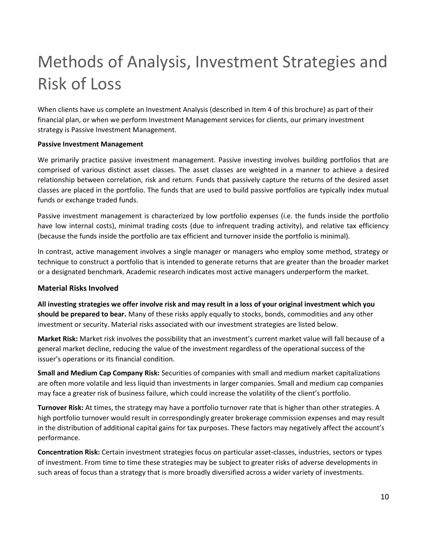# Methods of Analysis, Investment Strategies and Risk of Loss

When clients have us complete an Investment Analysis (described in Item 4 of this brochure) as part of their financial plan, or when we perform Investment Management services for clients, our primary investment strategy is Passive Investment Management.

#### Passive Investment Management

We primarily practice passive investment management. Passive investing involves building portfolios that are comprised of various distinct asset classes. The asset classes are weighted in a manner to achieve a desired relationship between correlation, risk and return. Funds that passively capture the returns of the desired asset classes are placed in the portfolio. The funds that are used to build passive portfolios are typically index mutual funds or exchange traded funds.

Passive investment management is characterized by low portfolio expenses (i.e. the funds inside the portfolio have low internal costs), minimal trading costs (due to infrequent trading activity), and relative tax efficiency (because the funds inside the portfolio are tax efficient and turnover inside the portfolio is minimal).

In contrast, active management involves a single manager or managers who employ some method, strategy or technique to construct a portfolio that is intended to generate returns that are greater than the broader market or a designated benchmark. Academic research indicates most active managers underperform the market.

#### Material Risks Involved

All investing strategies we offer involve risk and may result in a loss of your original investment which you should be prepared to bear. Many of these risks apply equally to stocks, bonds, commodities and any other investment or security. Material risks associated with our investment strategies are listed below.

Market Risk: Market risk involves the possibility that an investment's current market value will fall because of a general market decline, reducing the value of the investment regardless of the operational success of the issuer's operations or its financial condition.

Small and Medium Cap Company Risk: Securities of companies with small and medium market capitalizations are often more volatile and less liquid than investments in larger companies. Small and medium cap companies may face a greater risk of business failure, which could increase the volatility of the client's portfolio.

Turnover Risk: At times, the strategy may have a portfolio turnover rate that is higher than other strategies. A high portfolio turnover would result in correspondingly greater brokerage commission expenses and may result in the distribution of additional capital gains for tax purposes. These factors may negatively affect the account's performance.

Concentration Risk: Certain investment strategies focus on particular asset-classes, industries, sectors or types of investment. From time to time these strategies may be subject to greater risks of adverse developments in such areas of focus than a strategy that is more broadly diversified across a wider variety of investments.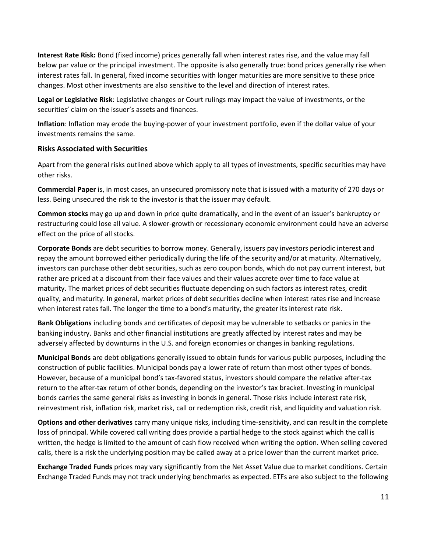Interest Rate Risk: Bond (fixed income) prices generally fall when interest rates rise, and the value may fall below par value or the principal investment. The opposite is also generally true: bond prices generally rise when interest rates fall. In general, fixed income securities with longer maturities are more sensitive to these price changes. Most other investments are also sensitive to the level and direction of interest rates.

Legal or Legislative Risk: Legislative changes or Court rulings may impact the value of investments, or the securities' claim on the issuer's assets and finances.

Inflation: Inflation may erode the buying-power of your investment portfolio, even if the dollar value of your investments remains the same.

#### Risks Associated with Securities

Apart from the general risks outlined above which apply to all types of investments, specific securities may have other risks.

Commercial Paper is, in most cases, an unsecured promissory note that is issued with a maturity of 270 days or less. Being unsecured the risk to the investor is that the issuer may default.

Common stocks may go up and down in price quite dramatically, and in the event of an issuer's bankruptcy or restructuring could lose all value. A slower-growth or recessionary economic environment could have an adverse effect on the price of all stocks.

Corporate Bonds are debt securities to borrow money. Generally, issuers pay investors periodic interest and repay the amount borrowed either periodically during the life of the security and/or at maturity. Alternatively, investors can purchase other debt securities, such as zero coupon bonds, which do not pay current interest, but rather are priced at a discount from their face values and their values accrete over time to face value at maturity. The market prices of debt securities fluctuate depending on such factors as interest rates, credit quality, and maturity. In general, market prices of debt securities decline when interest rates rise and increase when interest rates fall. The longer the time to a bond's maturity, the greater its interest rate risk.

Bank Obligations including bonds and certificates of deposit may be vulnerable to setbacks or panics in the banking industry. Banks and other financial institutions are greatly affected by interest rates and may be adversely affected by downturns in the U.S. and foreign economies or changes in banking regulations.

Municipal Bonds are debt obligations generally issued to obtain funds for various public purposes, including the construction of public facilities. Municipal bonds pay a lower rate of return than most other types of bonds. However, because of a municipal bond's tax-favored status, investors should compare the relative after-tax return to the after-tax return of other bonds, depending on the investor's tax bracket. Investing in municipal bonds carries the same general risks as investing in bonds in general. Those risks include interest rate risk, reinvestment risk, inflation risk, market risk, call or redemption risk, credit risk, and liquidity and valuation risk.

Options and other derivatives carry many unique risks, including time-sensitivity, and can result in the complete loss of principal. While covered call writing does provide a partial hedge to the stock against which the call is written, the hedge is limited to the amount of cash flow received when writing the option. When selling covered calls, there is a risk the underlying position may be called away at a price lower than the current market price.

Exchange Traded Funds prices may vary significantly from the Net Asset Value due to market conditions. Certain Exchange Traded Funds may not track underlying benchmarks as expected. ETFs are also subject to the following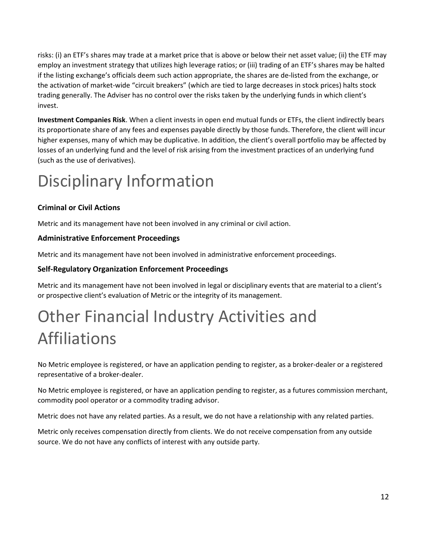risks: (i) an ETF's shares may trade at a market price that is above or below their net asset value; (ii) the ETF may employ an investment strategy that utilizes high leverage ratios; or (iii) trading of an ETF's shares may be halted if the listing exchange's officials deem such action appropriate, the shares are de-listed from the exchange, or the activation of market-wide "circuit breakers" (which are tied to large decreases in stock prices) halts stock trading generally. The Adviser has no control over the risks taken by the underlying funds in which client's invest.

Investment Companies Risk. When a client invests in open end mutual funds or ETFs, the client indirectly bears its proportionate share of any fees and expenses payable directly by those funds. Therefore, the client will incur higher expenses, many of which may be duplicative. In addition, the client's overall portfolio may be affected by losses of an underlying fund and the level of risk arising from the investment practices of an underlying fund (such as the use of derivatives).

# Disciplinary Information

## Criminal or Civil Actions

Metric and its management have not been involved in any criminal or civil action.

### Administrative Enforcement Proceedings

Metric and its management have not been involved in administrative enforcement proceedings.

### Self-Regulatory Organization Enforcement Proceedings

Metric and its management have not been involved in legal or disciplinary events that are material to a client's or prospective client's evaluation of Metric or the integrity of its management.

# Other Financial Industry Activities and Affiliations

No Metric employee is registered, or have an application pending to register, as a broker-dealer or a registered representative of a broker-dealer.

No Metric employee is registered, or have an application pending to register, as a futures commission merchant, commodity pool operator or a commodity trading advisor.

Metric does not have any related parties. As a result, we do not have a relationship with any related parties.

Metric only receives compensation directly from clients. We do not receive compensation from any outside source. We do not have any conflicts of interest with any outside party.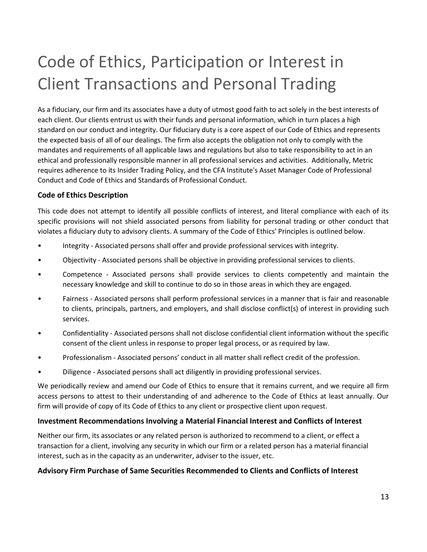# Code of Ethics, Participation or Interest in Client Transactions and Personal Trading

As a fiduciary, our firm and its associates have a duty of utmost good faith to act solely in the best interests of each client. Our clients entrust us with their funds and personal information, which in turn places a high standard on our conduct and integrity. Our fiduciary duty is a core aspect of our Code of Ethics and represents the expected basis of all of our dealings. The firm also accepts the obligation not only to comply with the mandates and requirements of all applicable laws and regulations but also to take responsibility to act in an ethical and professionally responsible manner in all professional services and activities. Additionally, Metric requires adherence to its Insider Trading Policy, and the CFA Institute's Asset Manager Code of Professional Conduct and Code of Ethics and Standards of Professional Conduct.

### Code of Ethics Description

This code does not attempt to identify all possible conflicts of interest, and literal compliance with each of its specific provisions will not shield associated persons from liability for personal trading or other conduct that violates a fiduciary duty to advisory clients. A summary of the Code of Ethics' Principles is outlined below.

- Integrity Associated persons shall offer and provide professional services with integrity.
- Objectivity Associated persons shall be objective in providing professional services to clients.
- Competence Associated persons shall provide services to clients competently and maintain the necessary knowledge and skill to continue to do so in those areas in which they are engaged.
- Fairness Associated persons shall perform professional services in a manner that is fair and reasonable to clients, principals, partners, and employers, and shall disclose conflict(s) of interest in providing such services.
- Confidentiality Associated persons shall not disclose confidential client information without the specific consent of the client unless in response to proper legal process, or as required by law.
- Professionalism Associated persons' conduct in all matter shall reflect credit of the profession.
- Diligence Associated persons shall act diligently in providing professional services.

We periodically review and amend our Code of Ethics to ensure that it remains current, and we require all firm access persons to attest to their understanding of and adherence to the Code of Ethics at least annually. Our firm will provide of copy of its Code of Ethics to any client or prospective client upon request.

### Investment Recommendations Involving a Material Financial Interest and Conflicts of Interest

Neither our firm, its associates or any related person is authorized to recommend to a client, or effect a transaction for a client, involving any security in which our firm or a related person has a material financial interest, such as in the capacity as an underwriter, adviser to the issuer, etc.

### Advisory Firm Purchase of Same Securities Recommended to Clients and Conflicts of Interest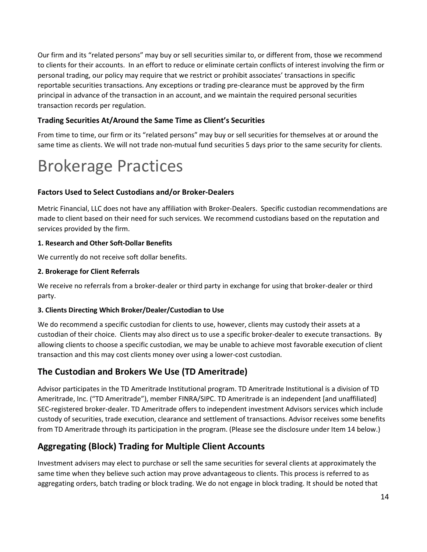Our firm and its "related persons" may buy or sell securities similar to, or different from, those we recommend to clients for their accounts. In an effort to reduce or eliminate certain conflicts of interest involving the firm or personal trading, our policy may require that we restrict or prohibit associates' transactions in specific reportable securities transactions. Any exceptions or trading pre-clearance must be approved by the firm principal in advance of the transaction in an account, and we maintain the required personal securities transaction records per regulation.

### Trading Securities At/Around the Same Time as Client's Securities

From time to time, our firm or its "related persons" may buy or sell securities for themselves at or around the same time as clients. We will not trade non-mutual fund securities 5 days prior to the same security for clients.

## Brokerage Practices

### Factors Used to Select Custodians and/or Broker-Dealers

Metric Financial, LLC does not have any affiliation with Broker-Dealers. Specific custodian recommendations are made to client based on their need for such services. We recommend custodians based on the reputation and services provided by the firm.

#### 1. Research and Other Soft-Dollar Benefits

We currently do not receive soft dollar benefits.

#### 2. Brokerage for Client Referrals

We receive no referrals from a broker-dealer or third party in exchange for using that broker-dealer or third party.

#### 3. Clients Directing Which Broker/Dealer/Custodian to Use

We do recommend a specific custodian for clients to use, however, clients may custody their assets at a custodian of their choice. Clients may also direct us to use a specific broker-dealer to execute transactions. By allowing clients to choose a specific custodian, we may be unable to achieve most favorable execution of client transaction and this may cost clients money over using a lower-cost custodian.

## The Custodian and Brokers We Use (TD Ameritrade)

Advisor participates in the TD Ameritrade Institutional program. TD Ameritrade Institutional is a division of TD Ameritrade, Inc. ("TD Ameritrade"), member FINRA/SIPC. TD Ameritrade is an independent [and unaffiliated] SEC-registered broker-dealer. TD Ameritrade offers to independent investment Advisors services which include custody of securities, trade execution, clearance and settlement of transactions. Advisor receives some benefits from TD Ameritrade through its participation in the program. (Please see the disclosure under Item 14 below.)

## Aggregating (Block) Trading for Multiple Client Accounts

Investment advisers may elect to purchase or sell the same securities for several clients at approximately the same time when they believe such action may prove advantageous to clients. This process is referred to as aggregating orders, batch trading or block trading. We do not engage in block trading. It should be noted that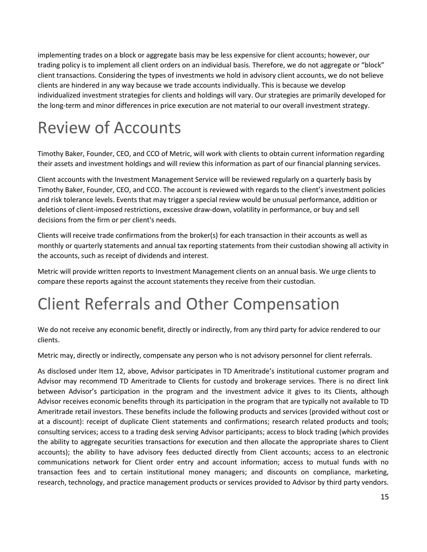implementing trades on a block or aggregate basis may be less expensive for client accounts; however, our trading policy is to implement all client orders on an individual basis. Therefore, we do not aggregate or "block" client transactions. Considering the types of investments we hold in advisory client accounts, we do not believe clients are hindered in any way because we trade accounts individually. This is because we develop individualized investment strategies for clients and holdings will vary. Our strategies are primarily developed for the long-term and minor differences in price execution are not material to our overall investment strategy.

# Review of Accounts

Timothy Baker, Founder, CEO, and CCO of Metric, will work with clients to obtain current information regarding their assets and investment holdings and will review this information as part of our financial planning services.

Client accounts with the Investment Management Service will be reviewed regularly on a quarterly basis by Timothy Baker, Founder, CEO, and CCO. The account is reviewed with regards to the client's investment policies and risk tolerance levels. Events that may trigger a special review would be unusual performance, addition or deletions of client-imposed restrictions, excessive draw-down, volatility in performance, or buy and sell decisions from the firm or per client's needs.

Clients will receive trade confirmations from the broker(s) for each transaction in their accounts as well as monthly or quarterly statements and annual tax reporting statements from their custodian showing all activity in the accounts, such as receipt of dividends and interest.

Metric will provide written reports to Investment Management clients on an annual basis. We urge clients to compare these reports against the account statements they receive from their custodian.

## Client Referrals and Other Compensation

We do not receive any economic benefit, directly or indirectly, from any third party for advice rendered to our clients.

Metric may, directly or indirectly, compensate any person who is not advisory personnel for client referrals.

As disclosed under Item 12, above, Advisor participates in TD Ameritrade's institutional customer program and Advisor may recommend TD Ameritrade to Clients for custody and brokerage services. There is no direct link between Advisor's participation in the program and the investment advice it gives to its Clients, although Advisor receives economic benefits through its participation in the program that are typically not available to TD Ameritrade retail investors. These benefits include the following products and services (provided without cost or at a discount): receipt of duplicate Client statements and confirmations; research related products and tools; consulting services; access to a trading desk serving Advisor participants; access to block trading (which provides the ability to aggregate securities transactions for execution and then allocate the appropriate shares to Client accounts); the ability to have advisory fees deducted directly from Client accounts; access to an electronic communications network for Client order entry and account information; access to mutual funds with no transaction fees and to certain institutional money managers; and discounts on compliance, marketing, research, technology, and practice management products or services provided to Advisor by third party vendors.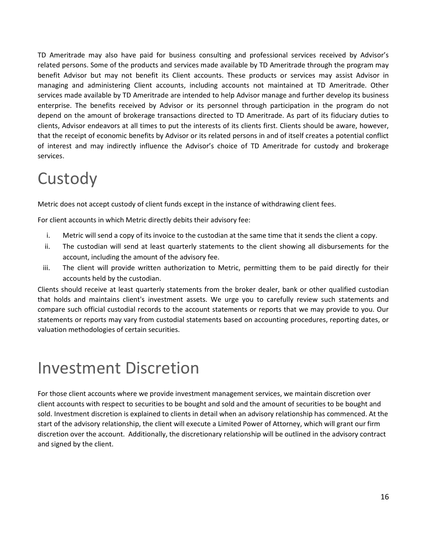TD Ameritrade may also have paid for business consulting and professional services received by Advisor's related persons. Some of the products and services made available by TD Ameritrade through the program may benefit Advisor but may not benefit its Client accounts. These products or services may assist Advisor in managing and administering Client accounts, including accounts not maintained at TD Ameritrade. Other services made available by TD Ameritrade are intended to help Advisor manage and further develop its business enterprise. The benefits received by Advisor or its personnel through participation in the program do not depend on the amount of brokerage transactions directed to TD Ameritrade. As part of its fiduciary duties to clients, Advisor endeavors at all times to put the interests of its clients first. Clients should be aware, however, that the receipt of economic benefits by Advisor or its related persons in and of itself creates a potential conflict of interest and may indirectly influence the Advisor's choice of TD Ameritrade for custody and brokerage services.

## **Custody**

Metric does not accept custody of client funds except in the instance of withdrawing client fees.

For client accounts in which Metric directly debits their advisory fee:

- i. Metric will send a copy of its invoice to the custodian at the same time that it sends the client a copy.
- ii. The custodian will send at least quarterly statements to the client showing all disbursements for the account, including the amount of the advisory fee.
- iii. The client will provide written authorization to Metric, permitting them to be paid directly for their accounts held by the custodian.

Clients should receive at least quarterly statements from the broker dealer, bank or other qualified custodian that holds and maintains client's investment assets. We urge you to carefully review such statements and compare such official custodial records to the account statements or reports that we may provide to you. Our statements or reports may vary from custodial statements based on accounting procedures, reporting dates, or valuation methodologies of certain securities.

## Investment Discretion

For those client accounts where we provide investment management services, we maintain discretion over client accounts with respect to securities to be bought and sold and the amount of securities to be bought and sold. Investment discretion is explained to clients in detail when an advisory relationship has commenced. At the start of the advisory relationship, the client will execute a Limited Power of Attorney, which will grant our firm discretion over the account. Additionally, the discretionary relationship will be outlined in the advisory contract and signed by the client.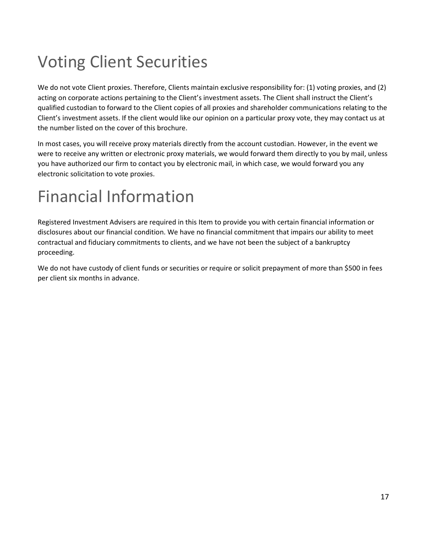# Voting Client Securities

We do not vote Client proxies. Therefore, Clients maintain exclusive responsibility for: (1) voting proxies, and (2) acting on corporate actions pertaining to the Client's investment assets. The Client shall instruct the Client's qualified custodian to forward to the Client copies of all proxies and shareholder communications relating to the Client's investment assets. If the client would like our opinion on a particular proxy vote, they may contact us at the number listed on the cover of this brochure.

In most cases, you will receive proxy materials directly from the account custodian. However, in the event we were to receive any written or electronic proxy materials, we would forward them directly to you by mail, unless you have authorized our firm to contact you by electronic mail, in which case, we would forward you any electronic solicitation to vote proxies.

# Financial Information

Registered Investment Advisers are required in this Item to provide you with certain financial information or disclosures about our financial condition. We have no financial commitment that impairs our ability to meet contractual and fiduciary commitments to clients, and we have not been the subject of a bankruptcy proceeding.

We do not have custody of client funds or securities or require or solicit prepayment of more than \$500 in fees per client six months in advance.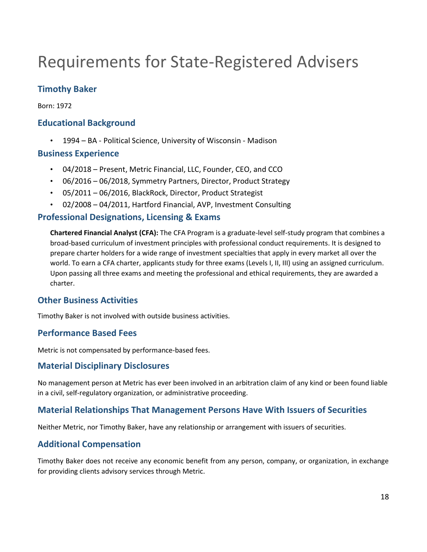## Requirements for State-Registered Advisers

## Timothy Baker

Born: 1972

## Educational Background

• 1994 – BA - Political Science, University of Wisconsin - Madison

#### Business Experience

- 04/2018 Present, Metric Financial, LLC, Founder, CEO, and CCO
- 06/2016 06/2018, Symmetry Partners, Director, Product Strategy
- 05/2011 06/2016, BlackRock, Director, Product Strategist
- 02/2008 04/2011, Hartford Financial, AVP, Investment Consulting

### Professional Designations, Licensing & Exams

Chartered Financial Analyst (CFA): The CFA Program is a graduate-level self-study program that combines a broad-based curriculum of investment principles with professional conduct requirements. It is designed to prepare charter holders for a wide range of investment specialties that apply in every market all over the world. To earn a CFA charter, applicants study for three exams (Levels I, II, III) using an assigned curriculum. Upon passing all three exams and meeting the professional and ethical requirements, they are awarded a charter.

## Other Business Activities

Timothy Baker is not involved with outside business activities.

### Performance Based Fees

Metric is not compensated by performance-based fees.

### Material Disciplinary Disclosures

No management person at Metric has ever been involved in an arbitration claim of any kind or been found liable in a civil, self-regulatory organization, or administrative proceeding.

## Material Relationships That Management Persons Have With Issuers of Securities

Neither Metric, nor Timothy Baker, have any relationship or arrangement with issuers of securities.

### Additional Compensation

Timothy Baker does not receive any economic benefit from any person, company, or organization, in exchange for providing clients advisory services through Metric.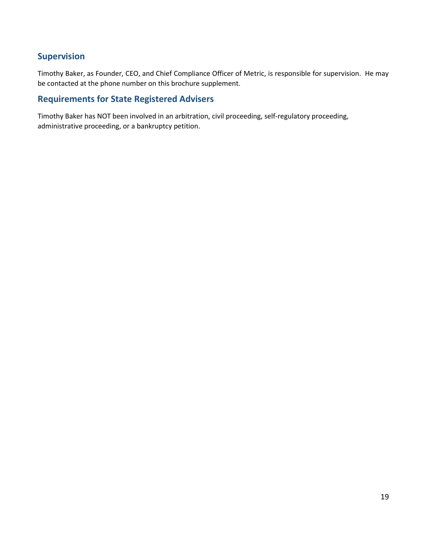## Supervision

Timothy Baker, as Founder, CEO, and Chief Compliance Officer of Metric, is responsible for supervision. He may be contacted at the phone number on this brochure supplement.

## Requirements for State Registered Advisers

Timothy Baker has NOT been involved in an arbitration, civil proceeding, self-regulatory proceeding, administrative proceeding, or a bankruptcy petition.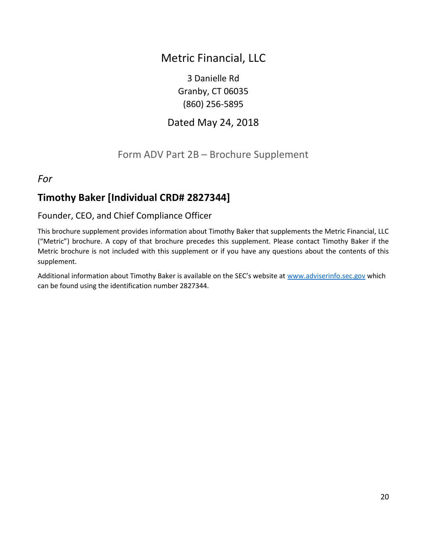## Metric Financial, LLC

3 Danielle Rd Granby, CT 06035 (860) 256-5895

## Dated May 24, 2018

## Form ADV Part 2B – Brochure Supplement

For

## Timothy Baker [Individual CRD# 2827344]

## Founder, CEO, and Chief Compliance Officer

This brochure supplement provides information about Timothy Baker that supplements the Metric Financial, LLC ("Metric") brochure. A copy of that brochure precedes this supplement. Please contact Timothy Baker if the Metric brochure is not included with this supplement or if you have any questions about the contents of this supplement.

Additional information about Timothy Baker is available on the SEC's website at www.adviserinfo.sec.gov which can be found using the identification number 2827344.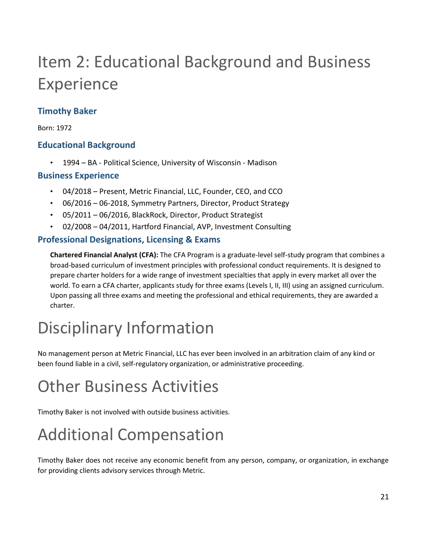# Item 2: Educational Background and Business Experience

## Timothy Baker

Born: 1972

## Educational Background

• 1994 – BA - Political Science, University of Wisconsin - Madison

## Business Experience

- 04/2018 Present, Metric Financial, LLC, Founder, CEO, and CCO
- 06/2016 06-2018, Symmetry Partners, Director, Product Strategy
- 05/2011 06/2016, BlackRock, Director, Product Strategist
- 02/2008 04/2011, Hartford Financial, AVP, Investment Consulting

## Professional Designations, Licensing & Exams

Chartered Financial Analyst (CFA): The CFA Program is a graduate-level self-study program that combines a broad-based curriculum of investment principles with professional conduct requirements. It is designed to prepare charter holders for a wide range of investment specialties that apply in every market all over the world. To earn a CFA charter, applicants study for three exams (Levels I, II, III) using an assigned curriculum. Upon passing all three exams and meeting the professional and ethical requirements, they are awarded a charter.

## Disciplinary Information

No management person at Metric Financial, LLC has ever been involved in an arbitration claim of any kind or been found liable in a civil, self-regulatory organization, or administrative proceeding.

## Other Business Activities

Timothy Baker is not involved with outside business activities.

# Additional Compensation

Timothy Baker does not receive any economic benefit from any person, company, or organization, in exchange for providing clients advisory services through Metric.